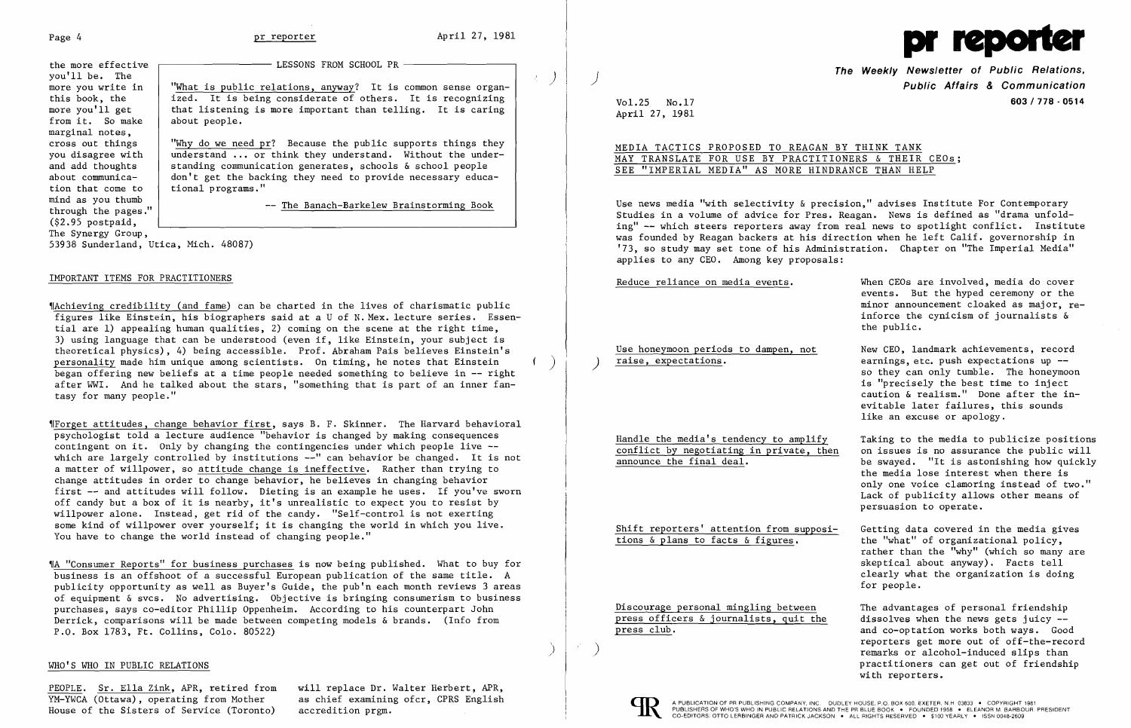)

you'll be. The<br>more you write in the more effective from it. So make marginal notes,<br>cross out things  $(\$2.95$  postpaid, The Synergy Group,

 $-$  LESSONS FROM SCHOOL PR  $-$ 

more you write in  $\begin{array}{c}$  "What is public relations, anyway? It is common sense organ-<br>this book, the  $\begin{array}{c}$  ized. It is being considerate of others. It is recognizing this book, the ized. It is being considerate of others. It is recognizing<br>more you'll get that listening is more important than telling. It is caring that listening is more important than telling. It is caring about people.

cross out things  $\begin{array}{c}$  "Why do we need pr? Because the public supports things they<br>you disagree with  $\begin{array}{c}$  understand ... or think they understand. Without the underyou disagree with  $\begin{array}{|l|} \hline \text{understand} \dots \text{ or think they understand} \dots \text{ which} \end{array}$  without the under-<br>and add thoughts standing communication generates, schools & school people and add thoughts standing communication generates, schools & school people<br>about communica-<br>don't get the backing they need to provide necessary educa about communica-  $\begin{vmatrix} don't get the backing they need to provide necessary education that come to itional programs."$ tional programs."

mind as you thumb  $\overline{ }$  -- The Banach-Barkelew Brainstorming Book through the pages."

53938 Sunderland, Utica, Mich. 48087)

# IMPORTANT ITEMS FOR PRACTITIONERS

'IAchieving credibility (and fame) can be charted in the lives of charismatic public figures like Einstein, his biographers said at a U of N. Mex. lecture series. Essential are 1) appealing human qualities, 2) coming on the scene at the right time, 3) using language that can be understood (even if, like Einstein, your subject is theoretical physics), 4) being accessible. Prof. Abraham Pais believes Einstein's began offering new beliefs at a time people needed something to believe in -- right after WWI. And he talked about the stars, "something that is part of an inner fantasy for many people."

The Weekly Newsletter of Public Relations,<br>Public Affairs & Communication Vol. 25 No.17 603/778 - 0514

'IForget attitudes, change behavior first, says B. F. Skinner. The Harvard behavioral psychologist told a lecture audience "behavior is changed by making consequences contingent on it. Only by changing the contingencies under which people live -which are largely controlled by institutions --" can behavior be changed. It is not a matter of Willpower, so attitude change is ineffective. Rather than trying to change attitudes in order to change behavior, he believes in changing behavior first -- and attitudes will follow. Dieting is an example he uses. If you've sworn off candy but a box of it is nearby, it's unrealistic to expect you to resist by willpower alone. Instead, get rid of the candy. "Self-control is not exerting some kind of willpower over yourself; it is changing the world in which you live. You have to change the world instead of changing people."

Reduce reliance on media events. When CEOs are involved, media do cover events. But the hyped ceremony or the minor announcement cloaked as major, reinforce the cynicism of journalists & the public.

Use honeymoon periods to dampen, not<br>
raise, expectations.<br>
earnings.etc. push expectations up -so they can only tumble. The honeymoon is "precisely the best time to inject caution & realism." Done after the inevitable later failures, this sounds like an excuse or apology.

- Handle the media's tendency to amplify<br>
conflict by negotiating in private, then on issues is no assurance the public will be swayed. "It is astonishing how quickly the media lose interest when there is only one voice clamoring instead of two." Lack of publicity allows other means of persuasion to operate.
- Shift reporters' attention from supposi-<br>tions  $\frac{\delta}{\delta}$  plans to facts  $\frac{\delta}{\delta}$  figures.<br>the "what" of organizational policy, the "what" of organizational policy, rather than the "why" (which so many are skeptical about anyway). Facts tell clearly what the organization is doing for people.

Discourage personal mingling between The advantages of personal friendship press officers & journalists, quit the dissolves when the news gets juicy --<br>press club.  $\qquad \qquad \qquad$  and co-optation works both ways. Good



'IA "Consumer Reports" for business purchases is now being published. What to buy for business is an offshoot of a successful European publication of the same title. A publicity opportunity as well as Buyer's Guide, the pub'n each month reviews 3 areas of equipment & svcs. No advertising. Objective is bringing consumerism to business purchases, says co-editor Phillip Oppenheim. According to his counterpart John Derrick, comparisons will be made between competing models & brands. (Info from P.O. Box 1783, Ft. Collins, Colo. 80522)

and co-optation works both ways. Good reporters get more out of off-the-record<br>remarks or alcohol-induced slips than practitioners can get out of friendship with reporters.

)

 $\mathcal{L}$ 

## WHO'S WHO IN PUBLIC RELATIONS

PEOPLE. Sr. Ella Zink, APR, retired from will replace Dr. Walter Herbert, APR, YM-YWCA (Ottawa), operating from Mother as chief examining ofcr, CPRS English House of the Sisters of Service (Toronto) accredition prgm.



April 27, 1981

MEDIA TACTICS PROPOSED TO REAGAN BY THINK TANK MAY TRANSLATE FOR USE BY PRACTITIONERS & THEIR CEOs; SEE "IMPERIAL MEDIA" AS MORE HINDRANCE THAN HELP

Use news media "with selectivity & precision," advises Institute For Contemporary Studies in a volume of advice for Pres. Reagan. News is defined as "drama unfolding" -- which steers reporters away from real news to spotlight conflict. Institute was founded by Reagan backers at his direction when he left Calif. governorship in '73, so study may set tone of his Administration. Chapter on "The Imperial Media" applies to any CEO. Among key proposals:

conflict by negotiating in private, then<br>announce the final deal.